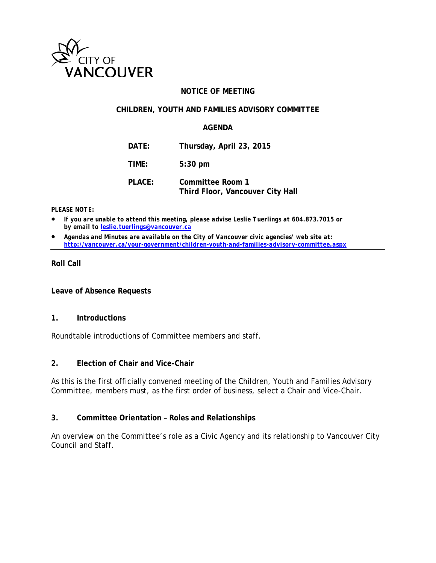

### **NOTICE OF MEETING**

#### **CHILDREN, YOUTH AND FAMILIES ADVISORY COMMITTEE**

#### **AGENDA**

**DATE: Thursday, April 23, 2015**

**TIME: 5:30 pm**

**PLACE: Committee Room 1 Third Floor, Vancouver City Hall**

#### *PLEASE NOTE:*

• *If you are unable to attend this meeting, please advise Leslie Tuerlings at 604.873.7015 or by email to [leslie.tuerlings@vancouver.ca](mailto:leslie.tuerlings@vancouver.ca)*

• *Agendas and Minutes are available on the City of Vancouver civic agencies' web site at: <http://vancouver.ca/your-government/children-youth-and-families-advisory-committee.aspx>*

#### **Roll Call**

**Leave of Absence Requests** 

#### **1. Introductions**

Roundtable introductions of Committee members and staff.

#### **2. Election of Chair and Vice-Chair**

As this is the first officially convened meeting of the Children, Youth and Families Advisory Committee, members must, as the first order of business, select a Chair and Vice-Chair.

#### **3. Committee Orientation – Roles and Relationships**

An overview on the Committee's role as a Civic Agency and its relationship to Vancouver City Council and Staff.